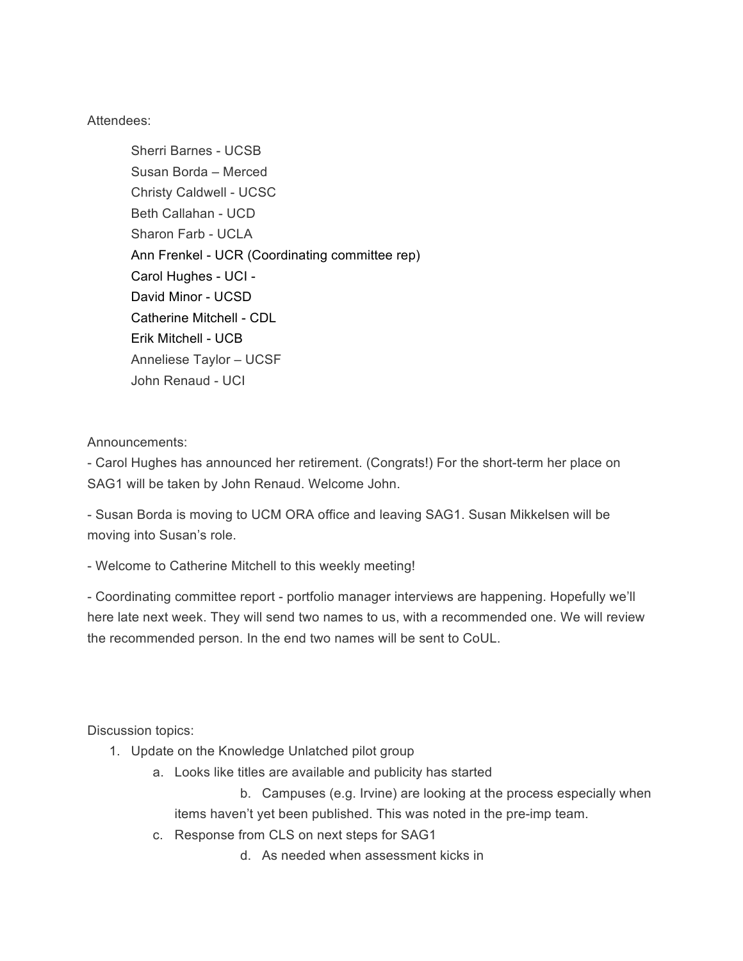Attendees:

Sherri Barnes - UCSB Susan Borda – Merced Christy Caldwell - UCSC Beth Callahan - UCD Sharon Farb - UCLA Ann Frenkel - UCR (Coordinating committee rep) Carol Hughes - UCI - David Minor - UCSD Catherine Mitchell - CDL Erik Mitchell - UCB Anneliese Taylor – UCSF John Renaud - UCI

Announcements:

- Carol Hughes has announced her retirement. (Congrats!) For the short-term her place on SAG1 will be taken by John Renaud. Welcome John.

- Susan Borda is moving to UCM ORA office and leaving SAG1. Susan Mikkelsen will be moving into Susan's role.

- Welcome to Catherine Mitchell to this weekly meeting!

- Coordinating committee report - portfolio manager interviews are happening. Hopefully we'll here late next week. They will send two names to us, with a recommended one. We will review the recommended person. In the end two names will be sent to CoUL.

Discussion topics:

- 1. Update on the Knowledge Unlatched pilot group
	- a. Looks like titles are available and publicity has started

b. Campuses (e.g. Irvine) are looking at the process especially when items haven't yet been published. This was noted in the pre-imp team.

- c. Response from CLS on next steps for SAG1
	- d. As needed when assessment kicks in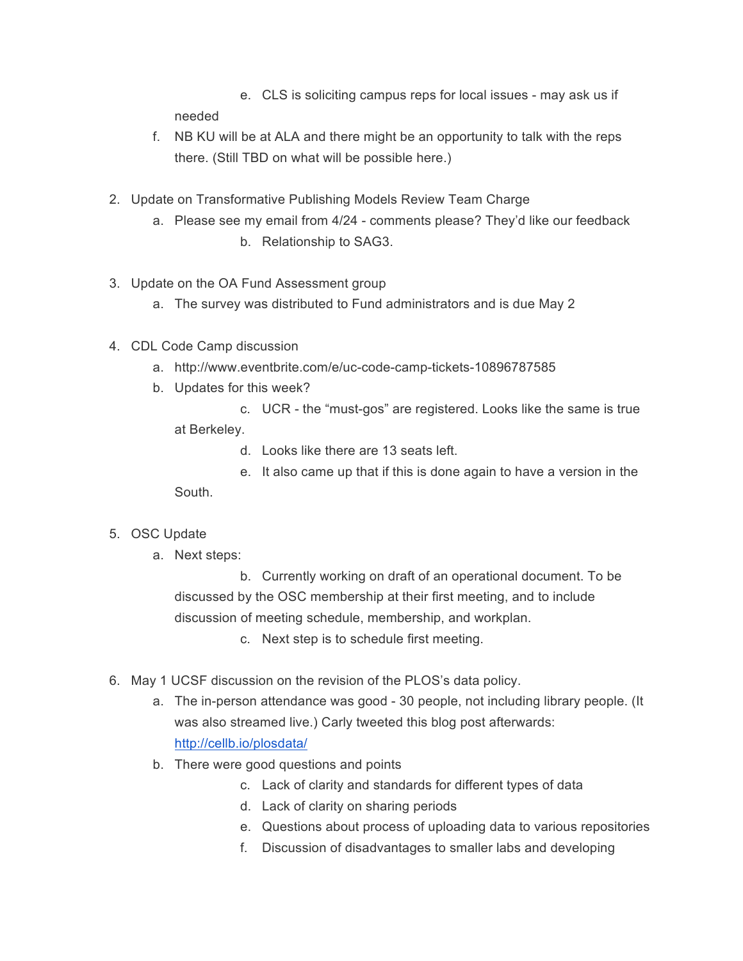e. CLS is soliciting campus reps for local issues - may ask us if needed

- f. NB KU will be at ALA and there might be an opportunity to talk with the reps there. (Still TBD on what will be possible here.)
- 2. Update on Transformative Publishing Models Review Team Charge
	- a. Please see my email from 4/24 comments please? They'd like our feedback b. Relationship to SAG3.
- 3. Update on the OA Fund Assessment group
	- a. The survey was distributed to Fund administrators and is due May 2
- 4. CDL Code Camp discussion
	- a. http://www.eventbrite.com/e/uc-code-camp-tickets-10896787585
	- b. Updates for this week?
		- c. UCR the "must-gos" are registered. Looks like the same is true at Berkeley.
			- d. Looks like there are 13 seats left.
		- e. It also came up that if this is done again to have a version in the South.
- 5. OSC Update
	- a. Next steps:

b. Currently working on draft of an operational document. To be discussed by the OSC membership at their first meeting, and to include discussion of meeting schedule, membership, and workplan.

c. Next step is to schedule first meeting.

- 6. May 1 UCSF discussion on the revision of the PLOS's data policy.
	- a. The in-person attendance was good 30 people, not including library people. (It was also streamed live.) Carly tweeted this blog post afterwards: http://cellb.io/plosdata/
	- b. There were good questions and points
		- c. Lack of clarity and standards for different types of data
		- d. Lack of clarity on sharing periods
		- e. Questions about process of uploading data to various repositories
		- f. Discussion of disadvantages to smaller labs and developing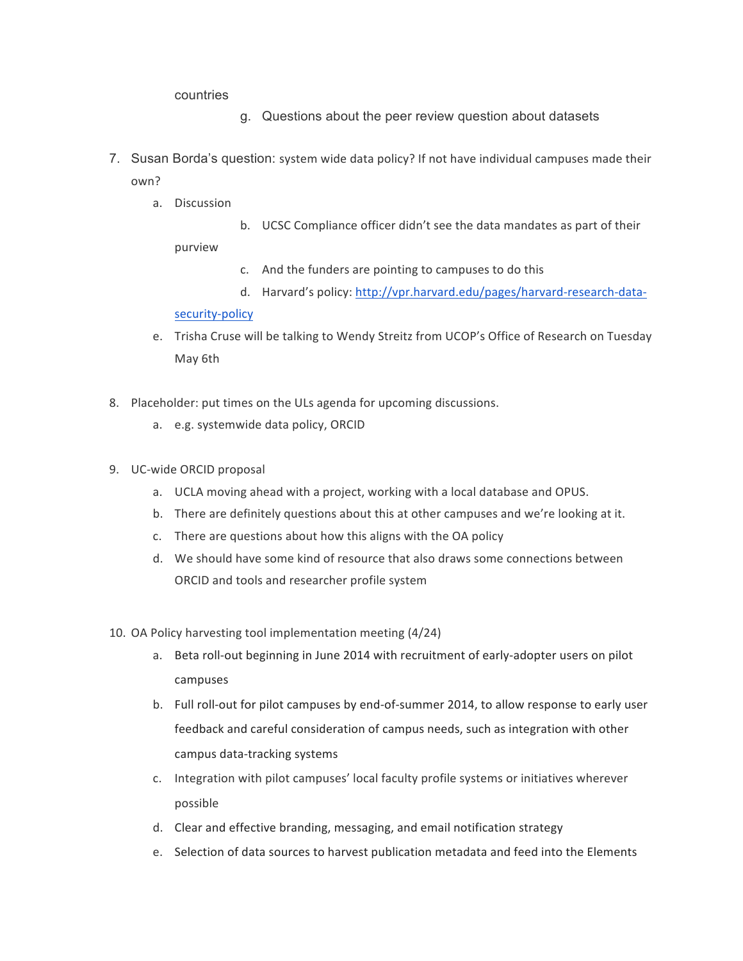countries

- g. Questions about the peer review question about datasets
- 7. Susan Borda's question: system wide data policy? If not have individual campuses made their own?
	- a. Discussion
- b. UCSC Compliance officer didn't see the data mandates as part of their

purview

- c. And the funders are pointing to campuses to do this
- d. Harvard's policy: http://vpr.harvard.edu/pages/harvard-research-data-

## security-policy

- e. Trisha Cruse will be talking to Wendy Streitz from UCOP's Office of Research on Tuesday May 6th
- 8. Placeholder: put times on the ULs agenda for upcoming discussions.
	- a. e.g. systemwide data policy, ORCID
- 9. UC-wide ORCID proposal
	- a. UCLA moving ahead with a project, working with a local database and OPUS.
	- b. There are definitely questions about this at other campuses and we're looking at it.
	- c. There are questions about how this aligns with the OA policy
	- d. We should have some kind of resource that also draws some connections between ORCID and tools and researcher profile system
- 10. OA Policy harvesting tool implementation meeting (4/24)
	- a. Beta roll-out beginning in June 2014 with recruitment of early-adopter users on pilot campuses
	- b. Full roll-out for pilot campuses by end-of-summer 2014, to allow response to early user feedback and careful consideration of campus needs, such as integration with other campus data-tracking systems
	- c. Integration with pilot campuses' local faculty profile systems or initiatives wherever possible
	- d. Clear and effective branding, messaging, and email notification strategy
	- e. Selection of data sources to harvest publication metadata and feed into the Elements